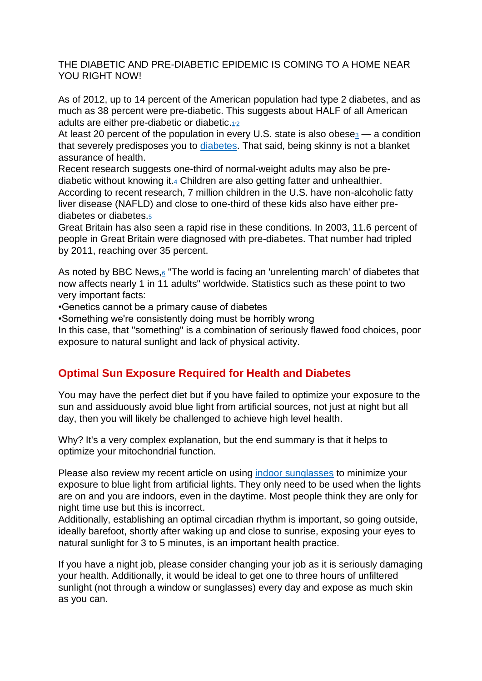#### THE DIABETIC AND PRE-DIABETIC EPIDEMIC IS COMING TO A HOME NEAR YOU RIGHT NOW!

As of 2012, up to 14 percent of the American population had type 2 diabetes, and as much as 38 percent were pre-diabetic. This suggests about HALF of all American adults are either pre-diabetic or diabetic. $_{12}$  $_{12}$  $_{12}$  $_{12}$ 

At least 20 percent of the population in every U.S. state is also obese $3 - a$  $3 - a$  condition that severely predisposes you to [diabetes.](http://www.mercola.com/diabetes.aspx) That said, being skinny is not a blanket assurance of health.

Recent research suggests one-third of normal-weight adults may also be prediabetic without knowing it[.](http://articles.mercola.com/sites/articles/archive/2016/08/29/9-superfoods-for-diabetics.aspx?utm_source=dnl&utm_medium=email&utm_content=art1&utm_campaign=20160829Z1&et_cid=DM115313&et_rid=1641524021#_edn4)<sup>4</sup> Children are also getting fatter and unhealthier. According to recent research, 7 million children in the U.S. have non-alcoholic fatty liver disease (NAFLD) and close to one-third of these kids also have either prediabetes or diabetes.[5](http://articles.mercola.com/sites/articles/archive/2016/08/29/9-superfoods-for-diabetics.aspx?utm_source=dnl&utm_medium=email&utm_content=art1&utm_campaign=20160829Z1&et_cid=DM115313&et_rid=1641524021#_edn5)

Great Britain has also seen a rapid rise in these conditions. In 2003, 11.6 percent of people in Great Britain were diagnosed with pre-diabetes. That number had tripled by 2011, reaching over 35 percent.

As noted by BBC News, $6$  "The world is facing an 'unrelenting march' of diabetes that now affects nearly 1 in 11 adults" worldwide. Statistics such as these point to two very important facts:

•Genetics cannot be a primary cause of diabetes

•Something we're consistently doing must be horribly wrong

In this case, that "something" is a combination of seriously flawed food choices, poor exposure to natural sunlight and lack of physical activity.

# **Optimal Sun Exposure Required for Health and Diabetes**

You may have the perfect diet but if you have failed to optimize your exposure to the sun and assiduously avoid blue light from artificial sources, not just at night but all day, then you will likely be challenged to achieve high level health.

Why? It's a very complex explanation, but the end summary is that it helps to optimize your mitochondrial function.

Please also review my recent article on using [indoor sunglasses](http://articles.mercola.com/sites/articles/archive/2016/08/11/blue-light-blocking-glasses.aspx) to minimize your exposure to blue light from artificial lights. They only need to be used when the lights are on and you are indoors, even in the daytime. Most people think they are only for night time use but this is incorrect.

Additionally, establishing an optimal circadian rhythm is important, so going outside, ideally barefoot, shortly after waking up and close to sunrise, exposing your eyes to natural sunlight for 3 to 5 minutes, is an important health practice.

If you have a night job, please consider changing your job as it is seriously damaging your health. Additionally, it would be ideal to get one to three hours of unfiltered sunlight (not through a window or sunglasses) every day and expose as much skin as you can.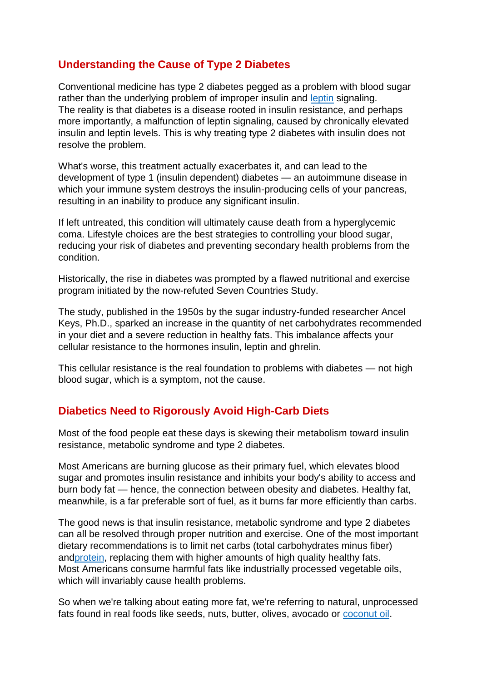# **Understanding the Cause of Type 2 Diabetes**

Conventional medicine has type 2 diabetes pegged as a problem with blood sugar rather than the underlying problem of improper insulin and [leptin](http://articles.mercola.com/sites/articles/archive/2012/10/29/leptin-resistance.aspx) signaling. The reality is that diabetes is a disease rooted in insulin resistance, and perhaps more importantly, a malfunction of leptin signaling, caused by chronically elevated insulin and leptin levels. This is why treating type 2 diabetes with insulin does not resolve the problem.

What's worse, this treatment actually exacerbates it, and can lead to the development of type 1 (insulin dependent) diabetes — an autoimmune disease in which your immune system destroys the insulin-producing cells of your pancreas, resulting in an inability to produce any significant insulin.

If left untreated, this condition will ultimately cause death from a hyperglycemic coma. Lifestyle choices are the best strategies to controlling your blood sugar, reducing your risk of diabetes and preventing secondary health problems from the condition.

Historically, the rise in diabetes was prompted by a flawed nutritional and exercise program initiated by the now-refuted Seven Countries Study.

The study, published in the 1950s by the sugar industry-funded researcher Ancel Keys, Ph.D., sparked an increase in the quantity of net carbohydrates recommended in your diet and a severe reduction in healthy fats. This imbalance affects your cellular resistance to the hormones insulin, leptin and ghrelin.

This cellular resistance is the real foundation to problems with diabetes — not high blood sugar, which is a symptom, not the cause.

## **Diabetics Need to Rigorously Avoid High-Carb Diets**

Most of the food people eat these days is skewing their metabolism toward insulin resistance, metabolic syndrome and type 2 diabetes.

Most Americans are burning glucose as their primary fuel, which elevates blood sugar and promotes insulin resistance and inhibits your body's ability to access and burn body fat — hence, the connection between obesity and diabetes. Healthy fat, meanwhile, is a far preferable sort of fuel, as it burns far more efficiently than carbs.

The good news is that insulin resistance, metabolic syndrome and type 2 diabetes can all be resolved through proper nutrition and exercise. One of the most important dietary recommendations is to limit net carbs (total carbohydrates minus fiber) an[dprotein,](http://articles.mercola.com/sites/articles/archive/2014/09/03/too-much-protein.aspx) replacing them with higher amounts of high quality healthy fats. Most Americans consume harmful fats like industrially processed vegetable oils, which will invariably cause health problems.

So when we're talking about eating more fat, we're referring to natural, unprocessed fats found in real foods like seeds, nuts, butter, olives, avocado or [coconut oil.](http://articles.mercola.com/sites/articles/archive/2015/08/31/saturated-fats-heart-disease.aspx)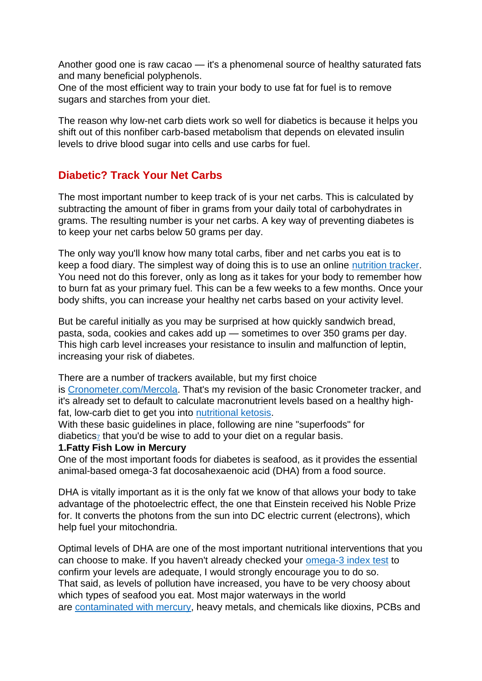Another good one is raw cacao — it's a phenomenal source of healthy saturated fats and many beneficial polyphenols.

One of the most efficient way to train your body to use fat for fuel is to remove sugars and starches from your diet.

The reason why low-net carb diets work so well for diabetics is because it helps you shift out of this nonfiber carb-based metabolism that depends on elevated insulin levels to drive blood sugar into cells and use carbs for fuel.

## **Diabetic? Track Your Net Carbs**

The most important number to keep track of is your net carbs. This is calculated by subtracting the amount of fiber in grams from your daily total of carbohydrates in grams. The resulting number is your net carbs. A key way of preventing diabetes is to keep your net carbs below 50 grams per day.

The only way you'll know how many total carbs, fiber and net carbs you eat is to keep a food diary. The simplest way of doing this is to use an online [nutrition tracker.](http://articles.mercola.com/sites/articles/archive/2016/08/02/cronometer-nutrient-tracker.aspx) You need not do this forever, only as long as it takes for your body to remember how to burn fat as your primary fuel. This can be a few weeks to a few months. Once your body shifts, you can increase your healthy net carbs based on your activity level.

But be careful initially as you may be surprised at how quickly sandwich bread, pasta, soda, cookies and cakes add up — sometimes to over 350 grams per day. This high carb level increases your resistance to insulin and malfunction of leptin, increasing your risk of diabetes.

There are a number of trackers available, but my first choice

is [Cronometer.com/Mercola.](https://cronometer.com/mercola/) That's my revision of the basic Cronometer tracker, and it's already set to default to calculate macronutrient levels based on a healthy highfat, low-carb diet to get you into [nutritional ketosis.](http://articles.mercola.com/sites/articles/archive/2014/02/02/ketogenic-diet-health-benefits.aspx)

With these basic guidelines in place, following are nine "superfoods" for diabetics<sub> $\mathbb{Z}$ </sub> that you'd be wise to add to your diet on a regular basis.

#### **1.Fatty Fish Low in Mercury**

One of the most important foods for diabetes is seafood, as it provides the essential animal-based omega-3 fat docosahexaenoic acid (DHA) from a food source.

DHA is vitally important as it is the only fat we know of that allows your body to take advantage of the photoelectric effect, the one that Einstein received his Noble Prize for. It converts the photons from the sun into DC electric current (electrons), which help fuel your mitochondria.

Optimal levels of DHA are one of the most important nutritional interventions that you can choose to make. If you haven't already checked your [omega-3 index test](http://omegaquant.com/omega-3-index/) to confirm your levels are adequate, I would strongly encourage you to do so. That said, as levels of pollution have increased, you have to be very choosy about which types of seafood you eat. Most major waterways in the world are [contaminated with mercury,](http://articles.mercola.com/sites/articles/archive/2014/04/15/pregnancy-fish-consumption.aspx) heavy metals, and chemicals like dioxins, PCBs and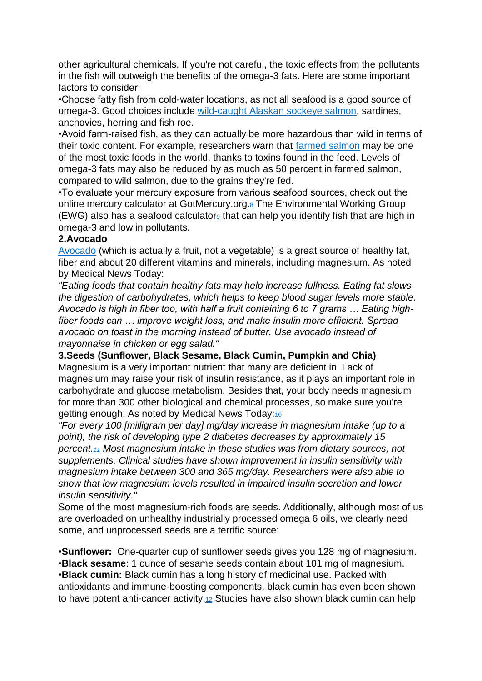other agricultural chemicals. If you're not careful, the toxic effects from the pollutants in the fish will outweigh the benefits of the omega-3 fats. Here are some important factors to consider:

•Choose fatty fish from cold-water locations, as not all seafood is a good source of omega-3. Good choices include [wild-caught Alaskan sockeye salmon,](http://articles.mercola.com/sites/articles/archive/2013/04/15/wild-alaskan-salmon.aspx) sardines, anchovies, herring and fish roe.

•Avoid farm-raised fish, as they can actually be more hazardous than wild in terms of their toxic content. For example, researchers warn that [farmed salmon](http://articles.mercola.com/sites/articles/archive/2016/04/30/salmon-fish-farming.aspx) may be one of the most toxic foods in the world, thanks to toxins found in the feed. Levels of omega-3 fats may also be reduced by as much as 50 percent in farmed salmon, compared to wild salmon, due to the grains they're fed.

•To evaluate your mercury exposure from various seafood sources, check out the online mercury calculator at GotMercury[.](http://articles.mercola.com/sites/articles/archive/2016/08/29/9-superfoods-for-diabetics.aspx?utm_source=dnl&utm_medium=email&utm_content=art1&utm_campaign=20160829Z1&et_cid=DM115313&et_rid=1641524021#_edn8)org.<sup>8</sup> The Environmental Working Group (EWG) also has a seafood calculator<sub>[9](http://articles.mercola.com/sites/articles/archive/2016/08/29/9-superfoods-for-diabetics.aspx?utm_source=dnl&utm_medium=email&utm_content=art1&utm_campaign=20160829Z1&et_cid=DM115313&et_rid=1641524021#_edn9)</sub> that can help you identify fish that are high in omega-3 and low in pollutants.

#### **2.Avocado**

[Avocado](http://articles.mercola.com/sites/articles/archive/2013/01/17/avocado-benefits.aspx) (which is actually a fruit, not a vegetable) is a great source of healthy fat, fiber and about 20 different vitamins and minerals, including magnesium. As noted by Medical News Today:

*"Eating foods that contain healthy fats may help increase fullness. Eating fat slows the digestion of carbohydrates, which helps to keep blood sugar levels more stable. Avocado is high in fiber too, with half a fruit containing 6 to 7 grams … Eating highfiber foods can … improve weight loss, and make insulin more efficient. Spread avocado on toast in the morning instead of butter. Use avocado instead of mayonnaise in chicken or egg salad."*

**3.Seeds (Sunflower, Black Sesame, Black Cumin, Pumpkin and Chia)** Magnesium is a very important nutrient that many are deficient in. Lack of magnesium may raise your risk of insulin resistance, as it plays an important role in carbohydrate and glucose metabolism. Besides that, your body needs magnesium for more than 300 other biological and chemical processes, so make sure you're getting enough. As noted by Medical News Today:[10](http://articles.mercola.com/sites/articles/archive/2016/08/29/9-superfoods-for-diabetics.aspx?utm_source=dnl&utm_medium=email&utm_content=art1&utm_campaign=20160829Z1&et_cid=DM115313&et_rid=1641524021#_edn10)

*"For every 100 [milligram per day] mg/day increase in magnesium intake (up to a point), the risk of developing type 2 diabetes decreases by approximately 15 percent.[11](http://articles.mercola.com/sites/articles/archive/2016/08/29/9-superfoods-for-diabetics.aspx?utm_source=dnl&utm_medium=email&utm_content=art1&utm_campaign=20160829Z1&et_cid=DM115313&et_rid=1641524021#_edn11) Most magnesium intake in these studies was from dietary sources, not supplements. Clinical studies have shown improvement in insulin sensitivity with magnesium intake between 300 and 365 mg/day. Researchers were also able to show that low magnesium levels resulted in impaired insulin secretion and lower insulin sensitivity."*

Some of the most magnesium-rich foods are seeds. Additionally, although most of us are overloaded on unhealthy industrially processed omega 6 oils, we clearly need some, and unprocessed seeds are a terrific source:

•**Sunflower:** One-quarter cup of sunflower seeds gives you 128 mg of magnesium. •**Black sesame**: 1 ounce of sesame seeds contain about 101 mg of magnesium. •**Black cumin:** Black cumin has a long history of medicinal use. Packed with antioxidants and immune-boosting components, black cumin has even been shown to have potent anti-cancer activity. $12$  Studies have also shown black cumin can help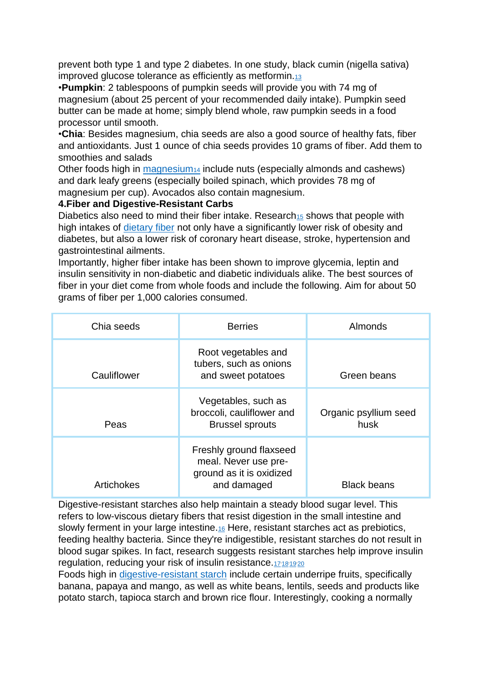prevent both type 1 and type 2 diabetes. In one study, black cumin (nigella sativa) improved glucose tolerance as efficiently as metformin.[13](http://articles.mercola.com/sites/articles/archive/2016/08/29/9-superfoods-for-diabetics.aspx?utm_source=dnl&utm_medium=email&utm_content=art1&utm_campaign=20160829Z1&et_cid=DM115313&et_rid=1641524021#_edn13)

•**Pumpkin**: 2 tablespoons of pumpkin seeds will provide you with 74 mg of magnesium (about 25 percent of your recommended daily intake). Pumpkin seed butter can be made at home; simply blend whole, raw pumpkin seeds in a food processor until smooth.

•**Chia**: Besides magnesium, chia seeds are also a good source of healthy fats, fiber and antioxidants. Just 1 ounce of chia seeds provides 10 grams of fiber. Add them to smoothies and salads

Other foods high in [magnesium](http://articles.mercola.com/sites/articles/archive/2013/12/08/magnesium-health-benefits.aspx)<sub>[14](http://articles.mercola.com/sites/articles/archive/2013/12/08/magnesium-health-benefits.aspx)</sub> include nuts (especially almonds and cashews) and dark leafy greens (especially boiled spinach, which provides 78 mg of magnesium per cup). Avocados also contain magnesium.

#### **4.Fiber and Digestive-Resistant Carbs**

Diabetics also need to mind their fiber intake. Research<sub>[15](http://articles.mercola.com/sites/articles/archive/2016/08/29/9-superfoods-for-diabetics.aspx?utm_source=dnl&utm_medium=email&utm_content=art1&utm_campaign=20160829Z1&et_cid=DM115313&et_rid=1641524021#_edn15)</sub> shows that people with high intakes of [dietary fiber](http://articles.mercola.com/sites/articles/archive/2015/01/26/high-fiber-diet.aspx) not only have a significantly lower risk of obesity and diabetes, but also a lower risk of coronary heart disease, stroke, hypertension and gastrointestinal ailments.

Importantly, higher fiber intake has been shown to improve glycemia, leptin and insulin sensitivity in non-diabetic and diabetic individuals alike. The best sources of fiber in your diet come from whole foods and include the following. Aim for about 50 grams of fiber per 1,000 calories consumed.

| Chia seeds  | <b>Berries</b>                                                                             | Almonds                       |
|-------------|--------------------------------------------------------------------------------------------|-------------------------------|
| Cauliflower | Root vegetables and<br>tubers, such as onions<br>and sweet potatoes                        | Green beans                   |
| Peas        | Vegetables, such as<br>broccoli, cauliflower and<br><b>Brussel sprouts</b>                 | Organic psyllium seed<br>husk |
| Artichokes  | Freshly ground flaxseed<br>meal. Never use pre-<br>ground as it is oxidized<br>and damaged | <b>Black beans</b>            |

Digestive-resistant starches also help maintain a steady blood sugar level. This refers to low-viscous dietary fibers that resist digestion in the small intestine and slowly ferment in your large intestine.[16](http://articles.mercola.com/sites/articles/archive/2016/08/29/9-superfoods-for-diabetics.aspx?utm_source=dnl&utm_medium=email&utm_content=art1&utm_campaign=20160829Z1&et_cid=DM115313&et_rid=1641524021#_edn16) Here, resistant starches act as prebiotics, feeding healthy bacteria. Since they're indigestible, resistant starches do not result in blood sugar spikes. In fact, research suggests resistant starches help improve insulin regulation, reducing your risk of insulin resistance. [17](http://articles.mercola.com/sites/articles/archive/2016/08/29/9-superfoods-for-diabetics.aspx?utm_source=dnl&utm_medium=email&utm_content=art1&utm_campaign=20160829Z1&et_cid=DM115313&et_rid=1641524021#_edn17)[18](http://articles.mercola.com/sites/articles/archive/2016/08/29/9-superfoods-for-diabetics.aspx?utm_source=dnl&utm_medium=email&utm_content=art1&utm_campaign=20160829Z1&et_cid=DM115313&et_rid=1641524021#_edn18)[19](http://articles.mercola.com/sites/articles/archive/2016/08/29/9-superfoods-for-diabetics.aspx?utm_source=dnl&utm_medium=email&utm_content=art1&utm_campaign=20160829Z1&et_cid=DM115313&et_rid=1641524021#_edn19)[20](http://articles.mercola.com/sites/articles/archive/2016/08/29/9-superfoods-for-diabetics.aspx?utm_source=dnl&utm_medium=email&utm_content=art1&utm_campaign=20160829Z1&et_cid=DM115313&et_rid=1641524021#_edn20)

Foods high in [digestive-resistant starch](http://articles.mercola.com/sites/articles/archive/2016/07/04/unripe-banana-papaya-mango-benefits.aspx) include certain underripe fruits, specifically banana, papaya and mango, as well as white beans, lentils, seeds and products like potato starch, tapioca starch and brown rice flour. Interestingly, cooking a normally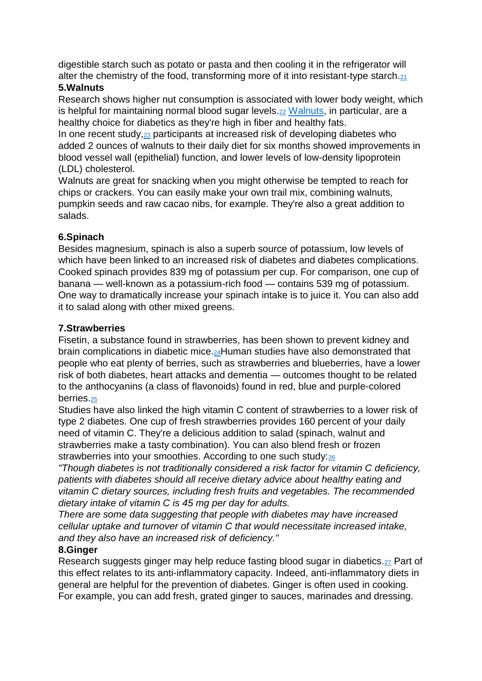digestible starch such as potato or pasta and then cooling it in the refrigerator will alter the chemistry of the food, transforming more of it into resistant-type starch.[21](http://articles.mercola.com/sites/articles/archive/2016/08/29/9-superfoods-for-diabetics.aspx?utm_source=dnl&utm_medium=email&utm_content=art1&utm_campaign=20160829Z1&et_cid=DM115313&et_rid=1641524021#_edn21) **5.Walnuts**

Research shows higher nut consumption is associated with lower body weight, which is helpful for maintaining normal blood sugar levels.[22](http://articles.mercola.com/sites/articles/archive/2016/08/29/9-superfoods-for-diabetics.aspx?utm_source=dnl&utm_medium=email&utm_content=art1&utm_campaign=20160829Z1&et_cid=DM115313&et_rid=1641524021#_edn22) [Walnuts,](http://articles.mercola.com/sites/articles/archive/2015/12/07/benefits-walnuts.aspx) in particular, are a healthy choice for diabetics as they're high in fiber and healthy fats.

In one recent study,<sup>[23](http://articles.mercola.com/sites/articles/archive/2016/08/29/9-superfoods-for-diabetics.aspx?utm_source=dnl&utm_medium=email&utm_content=art1&utm_campaign=20160829Z1&et_cid=DM115313&et_rid=1641524021#_edn23)</sup> participants at increased risk of developing diabetes who added 2 ounces of walnuts to their daily diet for six months showed improvements in blood vessel wall (epithelial) function, and lower levels of low-density lipoprotein (LDL) cholesterol.

Walnuts are great for snacking when you might otherwise be tempted to reach for chips or crackers. You can easily make your own trail mix, combining walnuts, pumpkin seeds and raw cacao nibs, for example. They're also a great addition to salads.

## **6.Spinach**

Besides magnesium, spinach is also a superb source of potassium, low levels of which have been linked to an increased risk of diabetes and diabetes complications. Cooked spinach provides 839 mg of potassium per cup. For comparison, one cup of banana — well-known as a potassium-rich food — contains 539 mg of potassium. One way to dramatically increase your spinach intake is to juice it. You can also add it to salad along with other mixed greens.

## **7.Strawberries**

Fisetin, a substance found in strawberries, has been shown to prevent kidney and brain complications in diabetic mice.[24](http://articles.mercola.com/sites/articles/archive/2016/08/29/9-superfoods-for-diabetics.aspx?utm_source=dnl&utm_medium=email&utm_content=art1&utm_campaign=20160829Z1&et_cid=DM115313&et_rid=1641524021#_edn24)Human studies have also demonstrated that people who eat plenty of berries, such as strawberries and blueberries, have a lower risk of both diabetes, heart attacks and dementia — outcomes thought to be related to the anthocyanins (a class of flavonoids) found in red, blue and purple-colored berries.[25](http://articles.mercola.com/sites/articles/archive/2016/08/29/9-superfoods-for-diabetics.aspx?utm_source=dnl&utm_medium=email&utm_content=art1&utm_campaign=20160829Z1&et_cid=DM115313&et_rid=1641524021#_edn25)

Studies have also linked the high vitamin C content of strawberries to a lower risk of type 2 diabetes. One cup of fresh strawberries provides 160 percent of your daily need of vitamin C. They're a delicious addition to salad (spinach, walnut and strawberries make a tasty combination). You can also blend fresh or frozen strawberries into your smoothies. According to one such study:[26](http://articles.mercola.com/sites/articles/archive/2016/08/29/9-superfoods-for-diabetics.aspx?utm_source=dnl&utm_medium=email&utm_content=art1&utm_campaign=20160829Z1&et_cid=DM115313&et_rid=1641524021#_edn26)

*"Though diabetes is not traditionally considered a risk factor for vitamin C deficiency, patients with diabetes should all receive dietary advice about healthy eating and vitamin C dietary sources, including fresh fruits and vegetables. The recommended dietary intake of vitamin C is 45 mg per day for adults.*

*There are some data suggesting that people with diabetes may have increased cellular uptake and turnover of vitamin C that would necessitate increased intake, and they also have an increased risk of deficiency."*

## **8.Ginger**

Research suggests ginger may help reduce fasting blood sugar in diabetics.<sup>[27](http://articles.mercola.com/sites/articles/archive/2016/08/29/9-superfoods-for-diabetics.aspx?utm_source=dnl&utm_medium=email&utm_content=art1&utm_campaign=20160829Z1&et_cid=DM115313&et_rid=1641524021#_edn27)</sup> Part of this effect relates to its anti-inflammatory capacity. Indeed, anti-inflammatory diets in general are helpful for the prevention of diabetes. Ginger is often used in cooking. For example, you can add fresh, grated ginger to sauces, marinades and dressing.